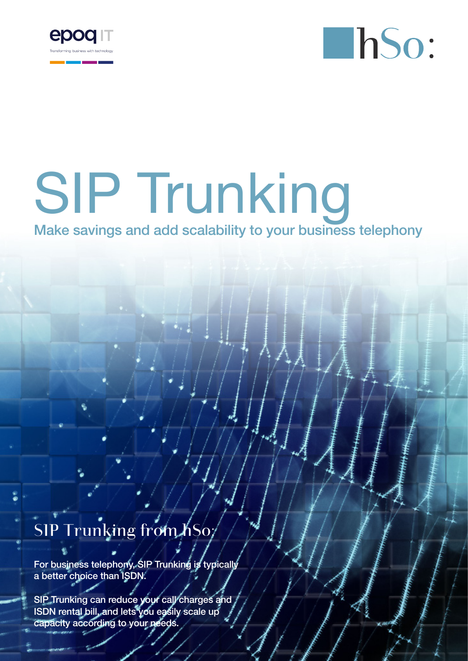



## SIP Trunking Make savings and add scalability to your business telephony

## SIP Trunking from hSo;

For business telephony, SIP Trunking is typically a better choice than ISDN.

SIP Trunking can reduce your call charges and ISDN rental bill, and lets you easily scale up capacity according to your needs.